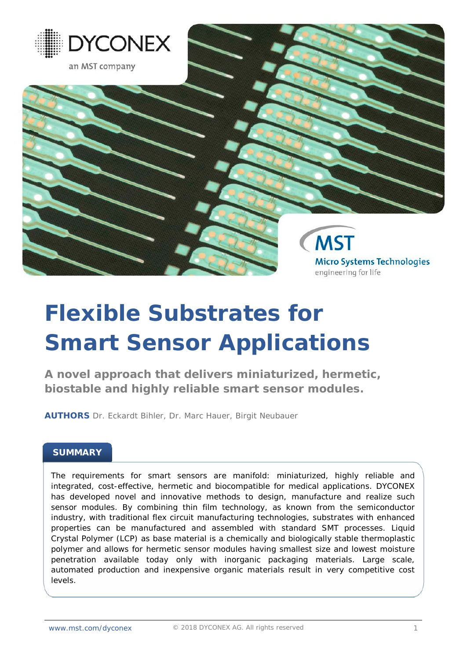

# **Flexible Substrates for Smart Sensor Applications**

**A novel approach that delivers miniaturized, hermetic, biostable and highly reliable smart sensor modules.**

**AUTHORS** Dr. Eckardt Bihler, Dr. Marc Hauer, Birgit Neubauer

# **SUMMARY**

The requirements for smart sensors are manifold: miniaturized, highly reliable and integrated, cost-effective, hermetic and biocompatible for medical applications. DYCONEX has developed novel and innovative methods to design, manufacture and realize such sensor modules. By combining thin film technology, as known from the semiconductor industry, with traditional flex circuit manufacturing technologies, substrates with enhanced properties can be manufactured and assembled with standard SMT processes. Liquid Crystal Polymer (LCP) as base material is a chemically and biologically stable thermoplastic polymer and allows for hermetic sensor modules having smallest size and lowest moisture penetration available today only with inorganic packaging materials. Large scale, automated production and inexpensive organic materials result in very competitive cost levels.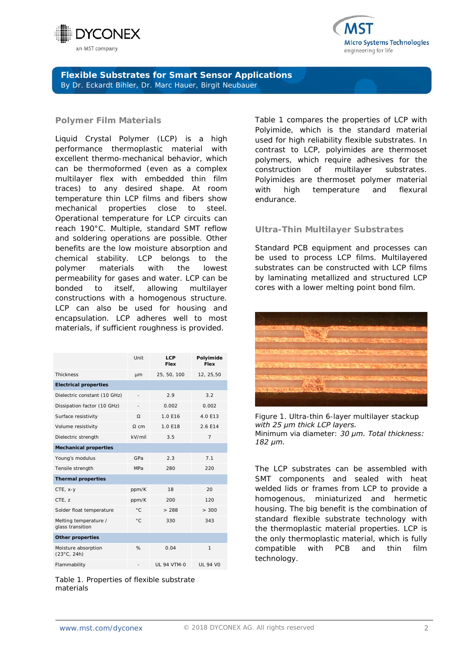



#### **Polymer Film Materials**

Liquid Crystal Polymer (LCP) is a high performance thermoplastic material with excellent thermo-mechanical behavior, which can be thermoformed (even as a complex multilayer flex with embedded thin film traces) to any desired shape. At room temperature thin LCP films and fibers show mechanical properties close to steel. Operational temperature for LCP circuits can reach 190°C. Multiple, standard SMT reflow and soldering operations are possible. Other benefits are the low moisture absorption and chemical stability. LCP belongs to the polymer materials with the lowest permeability for gases and water. LCP can be bonded to itself, allowing multilayer constructions with a homogenous structure. LCP can also be used for housing and encapsulation. LCP adheres well to most materials, if sufficient roughness is provided.

|                                             | Unit         | <b>LCP</b><br>Flex | Polyimide<br>Flex |
|---------------------------------------------|--------------|--------------------|-------------------|
| <b>Thickness</b>                            | um           | 25, 50, 100        | 12, 25,50         |
| <b>Electrical properties</b>                |              |                    |                   |
| Dielectric constant (10 GHz)                |              | 2.9                | 3.2               |
| Dissipation factor (10 GHz)                 |              | 0.002              | 0.002             |
| Surface resistivity                         | Ω            | 1.0 F16            | 4.0 F13           |
| Volume resistivity                          | $\Omega$ cm  | 1.0 F18            | 2.6 F14           |
| Dielectric strength                         | kV/mil       | 3.5                | $\overline{7}$    |
| <b>Mechanical properties</b>                |              |                    |                   |
| Young's modulus                             | GPa          | 2.3                | 7.1               |
| Tensile strength                            | MPa          | 280                | 220               |
| <b>Thermal properties</b>                   |              |                    |                   |
| CTE, x-y                                    | ppm/K        | 18                 | 20                |
| CTE. z                                      | ppm/K        | 200                | 120               |
| Solder float temperature                    | $^{\circ}$ C | > 288              | > 300             |
| Melting temperature /<br>glass transition   | $^{\circ}$ C | 330                | 343               |
| <b>Other properties</b>                     |              |                    |                   |
| Moisture absorption<br>$(23^{\circ}C, 24h)$ | %            | 0.04               | $\mathbf{1}$      |
| Flammability                                | ÷            | <b>UL 94 VTM-0</b> | <b>UL 94 VO</b>   |

*Table 1. Properties of flexible substrate materials*

Table 1 compares the properties of LCP with Polyimide, which is the standard material used for high reliability flexible substrates. In contrast to LCP, polyimides are thermoset polymers, which require adhesives for the construction of multilayer substrates. Polyimides are thermoset polymer material with high temperature and flexural endurance.

#### **Ultra-Thin Multilayer Substrates**

Standard PCB equipment and processes can be used to process LCP films. Multilayered substrates can be constructed with LCP films by laminating metallized and structured LCP cores with a lower melting point bond film.



*Figure 1. Ultra-thin 6-layer multilayer stackup with 25 μm thick LCP layers. Minimum via diameter: 30 μm. Total thickness: 182 μm.*

The LCP substrates can be assembled with SMT components and sealed with heat welded lids or frames from LCP to provide a homogenous, miniaturized and hermetic housing. The big benefit is the combination of standard flexible substrate technology with the thermoplastic material properties. LCP is the only thermoplastic material, which is fully compatible with PCB and thin film technology.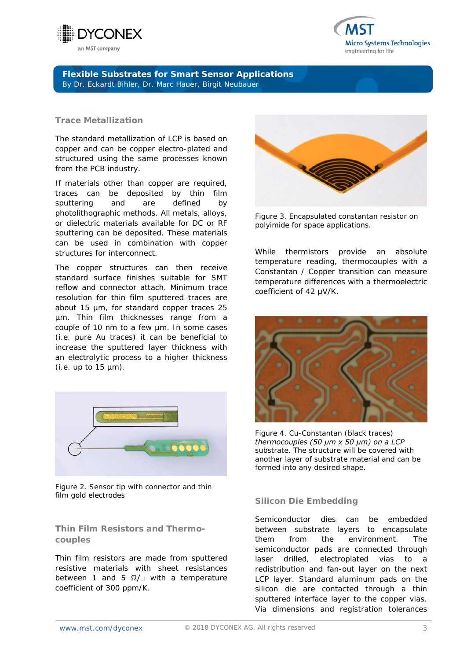



#### **Trace Metallization**

The standard metallization of LCP is based on copper and can be copper electro-plated and structured using the same processes known from the PCB industry.

If materials other than copper are required, traces can be deposited by thin film sputtering and are defined by photolithographic methods. All metals, alloys, or dielectric materials available for DC or RF sputtering can be deposited. These materials can be used in combination with copper structures for interconnect.

The copper structures can then receive standard surface finishes suitable for SMT reflow and connector attach. Minimum trace resolution for thin film sputtered traces are about 15 µm, for standard copper traces 25 µm. Thin film thicknesses range from a couple of 10 nm to a few µm. In some cases (i.e. pure Au traces) it can be beneficial to increase the sputtered layer thickness with an electrolytic process to a higher thickness  $(i.e. up to 15 µm).$ 



*Figure 2. Sensor tip with connector and thin film gold electrodes*

# **Thin Film Resistors and Thermocouples**

Thin film resistors are made from sputtered resistive materials with sheet resistances between 1 and 5  $\Omega/\square$  with a temperature coefficient of 300 ppm/K.



*Figure 3. Encapsulated constantan resistor on polyimide for space applications.*

While thermistors provide an absolute temperature reading, thermocouples with a Constantan / Copper transition can measure temperature differences with a thermoelectric coefficient of 42 μV/K.



*Figure 4. Cu-Constantan (black traces) thermocouples (50 μm x 50 μm) on a LCP substrate. The structure will be covered with another layer of substrate material and can be formed into any desired shape.*

# **Silicon Die Embedding**

Semiconductor dies can be embedded between substrate layers to encapsulate them from the environment. The semiconductor pads are connected through laser drilled, electroplated vias to a redistribution and fan-out layer on the next LCP layer. Standard aluminum pads on the silicon die are contacted through a thin sputtered interface layer to the copper vias. Via dimensions and registration tolerances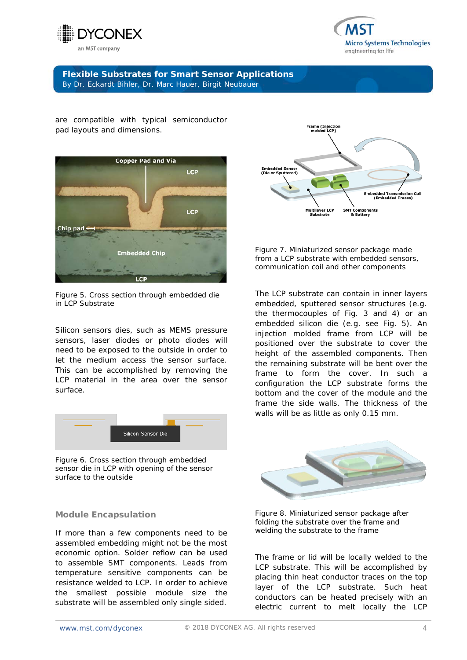



are compatible with typical semiconductor pad layouts and dimensions.



*Figure 5. Cross section through embedded die in LCP Substrate*

Silicon sensors dies, such as MEMS pressure sensors, laser diodes or photo diodes will need to be exposed to the outside in order to let the medium access the sensor surface. This can be accomplished by removing the LCP material in the area over the sensor surface.



*Figure 6. Cross section through embedded sensor die in LCP with opening of the sensor surface to the outside* 

#### **Module Encapsulation**

If more than a few components need to be assembled embedding might not be the most economic option. Solder reflow can be used to assemble SMT components. Leads from temperature sensitive components can be resistance welded to LCP. In order to achieve the smallest possible module size the substrate will be assembled only single sided.



*Figure 7. Miniaturized sensor package made from a LCP substrate with embedded sensors, communication coil and other components* 

The LCP substrate can contain in inner layers embedded, sputtered sensor structures (e.g. the thermocouples of Fig. 3 and 4) or an embedded silicon die (e.g. see Fig. 5). An injection molded frame from LCP will be positioned over the substrate to cover the height of the assembled components. Then the remaining substrate will be bent over the frame to form the cover. In such a configuration the LCP substrate forms the bottom and the cover of the module and the frame the side walls. The thickness of the walls will be as little as only 0.15 mm.



*Figure 8. Miniaturized sensor package after folding the substrate over the frame and welding the substrate to the frame*

The frame or lid will be locally welded to the LCP substrate. This will be accomplished by placing thin heat conductor traces on the top layer of the LCP substrate. Such heat conductors can be heated precisely with an electric current to melt locally the LCP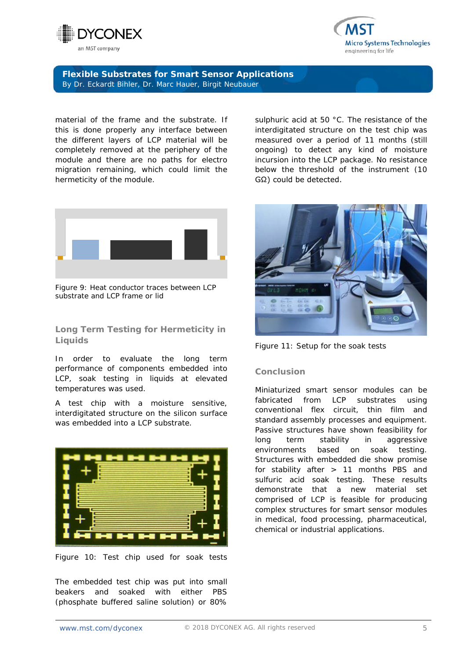



material of the frame and the substrate. If this is done properly any interface between the different layers of LCP material will be completely removed at the periphery of the module and there are no paths for electro migration remaining, which could limit the hermeticity of the module.



*Figure 9: Heat conductor traces between LCP substrate and LCP frame or lid*

# **Long Term Testing for Hermeticity in Liquids**

In order to evaluate the long term performance of components embedded into LCP, soak testing in liquids at elevated temperatures was used.

A test chip with a moisture sensitive, interdigitated structure on the silicon surface was embedded into a LCP substrate.



*Figure 10: Test chip used for soak tests*

The embedded test chip was put into small beakers and soaked with either PBS (phosphate buffered saline solution) or 80% sulphuric acid at 50 °C. The resistance of the interdigitated structure on the test chip was measured over a period of 11 months (still ongoing) to detect any kind of moisture incursion into the LCP package. No resistance below the threshold of the instrument (10 GΩ) could be detected.



*Figure 11: Setup for the soak tests*

#### **Conclusion**

Miniaturized smart sensor modules can be fabricated from LCP substrates using conventional flex circuit, thin film and standard assembly processes and equipment. Passive structures have shown feasibility for long term stability in aggressive environments based on soak testing. Structures with embedded die show promise for stability after > 11 months PBS and sulfuric acid soak testing. These results demonstrate that a new material set comprised of LCP is feasible for producing complex structures for smart sensor modules in medical, food processing, pharmaceutical, chemical or industrial applications.